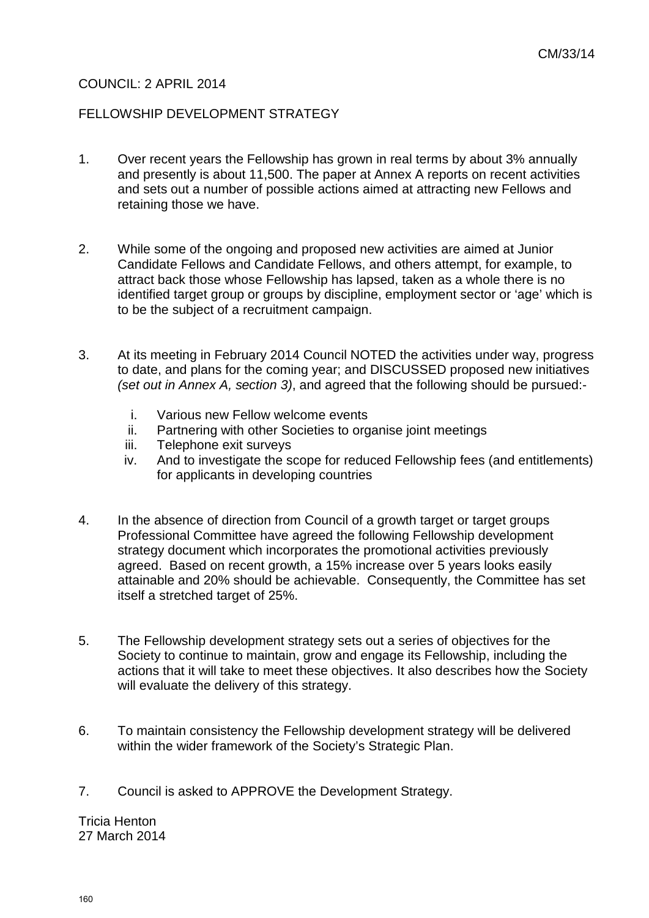# COUNCIL: 2 APRIL 2014

## FELLOWSHIP DEVELOPMENT STRATEGY

- 1. Over recent years the Fellowship has grown in real terms by about 3% annually and presently is about 11,500. The paper at Annex A reports on recent activities and sets out a number of possible actions aimed at attracting new Fellows and retaining those we have.
- 2. While some of the ongoing and proposed new activities are aimed at Junior Candidate Fellows and Candidate Fellows, and others attempt, for example, to attract back those whose Fellowship has lapsed, taken as a whole there is no identified target group or groups by discipline, employment sector or 'age' which is to be the subject of a recruitment campaign.
- 3. At its meeting in February 2014 Council NOTED the activities under way, progress to date, and plans for the coming year; and DISCUSSED proposed new initiatives *(set out in Annex A, section 3)*, and agreed that the following should be pursued:
	- i. Various new Fellow welcome events
	- ii. Partnering with other Societies to organise joint meetings
	- iii. Telephone exit surveys
	- iv. And to investigate the scope for reduced Fellowship fees (and entitlements) for applicants in developing countries
- 4. In the absence of direction from Council of a growth target or target groups Professional Committee have agreed the following Fellowship development strategy document which incorporates the promotional activities previously agreed. Based on recent growth, a 15% increase over 5 years looks easily attainable and 20% should be achievable. Consequently, the Committee has set itself a stretched target of 25%.
- 5. The Fellowship development strategy sets out a series of objectives for the Society to continue to maintain, grow and engage its Fellowship, including the actions that it will take to meet these objectives. It also describes how the Society will evaluate the delivery of this strategy.
- 6. To maintain consistency the Fellowship development strategy will be delivered within the wider framework of the Society's Strategic Plan.
- 7. Council is asked to APPROVE the Development Strategy.

Tricia Henton 27 March 2014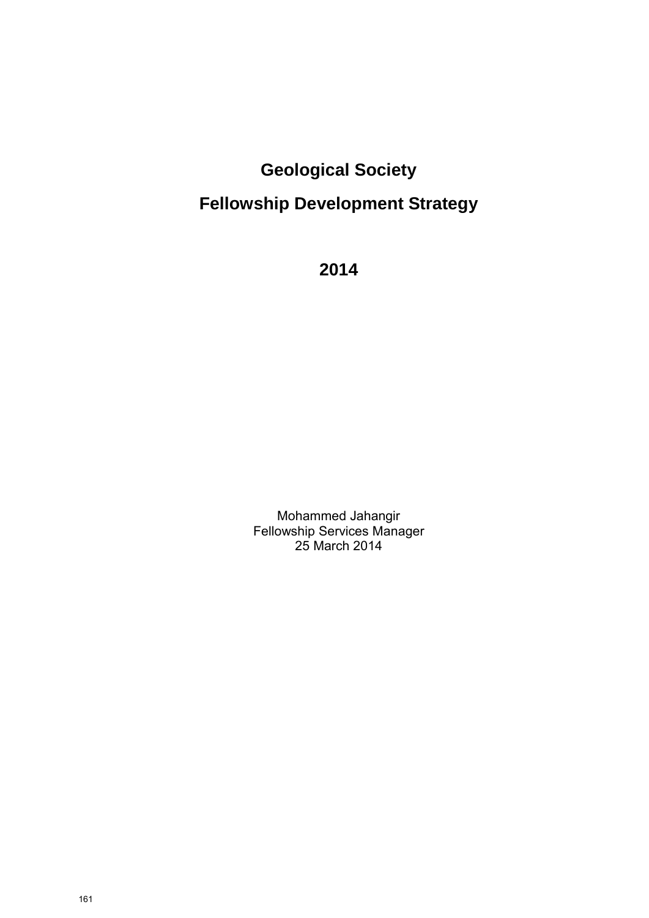# **Geological Society Fellowship Development Strategy**

**2014** 

Mohammed Jahangir Fellowship Services Manager 25 March 2014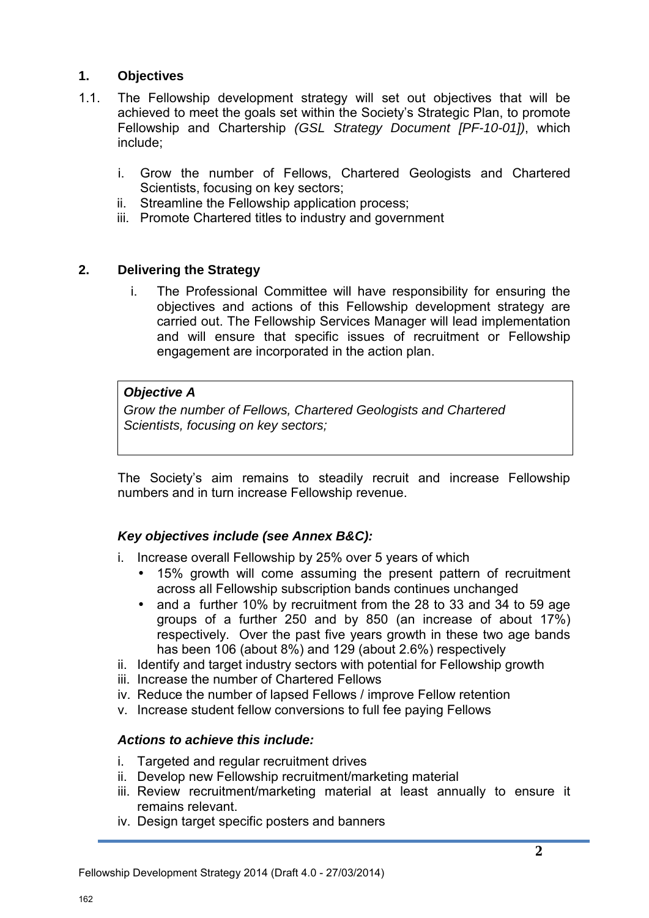# **1. Objectives**

- 1.1. The Fellowship development strategy will set out objectives that will be achieved to meet the goals set within the Society's Strategic Plan, to promote Fellowship and Chartership *(GSL Strategy Document [PF-10-01])*, which include;
	- i. Grow the number of Fellows, Chartered Geologists and Chartered Scientists, focusing on key sectors;
	- ii. Streamline the Fellowship application process;
	- iii. Promote Chartered titles to industry and government

# **2. Delivering the Strategy**

i. The Professional Committee will have responsibility for ensuring the objectives and actions of this Fellowship development strategy are carried out. The Fellowship Services Manager will lead implementation and will ensure that specific issues of recruitment or Fellowship engagement are incorporated in the action plan.

# *Objective A*

*Grow the number of Fellows, Chartered Geologists and Chartered Scientists, focusing on key sectors;*

The Society's aim remains to steadily recruit and increase Fellowship numbers and in turn increase Fellowship revenue.

# *Key objectives include (see Annex B&C):*

- i. Increase overall Fellowship by 25% over 5 years of which
	- 15% growth will come assuming the present pattern of recruitment across all Fellowship subscription bands continues unchanged
	- and a further 10% by recruitment from the 28 to 33 and 34 to 59 age groups of a further 250 and by 850 (an increase of about 17%) respectively. Over the past five years growth in these two age bands has been 106 (about 8%) and 129 (about 2.6%) respectively
- ii. Identify and target industry sectors with potential for Fellowship growth
- iii. Increase the number of Chartered Fellows
- iv. Reduce the number of lapsed Fellows / improve Fellow retention
- v. Increase student fellow conversions to full fee paying Fellows

## *Actions to achieve this include:*

- i. Targeted and regular recruitment drives
- ii. Develop new Fellowship recruitment/marketing material
- iii. Review recruitment/marketing material at least annually to ensure it remains relevant.
- iv. Design target specific posters and banners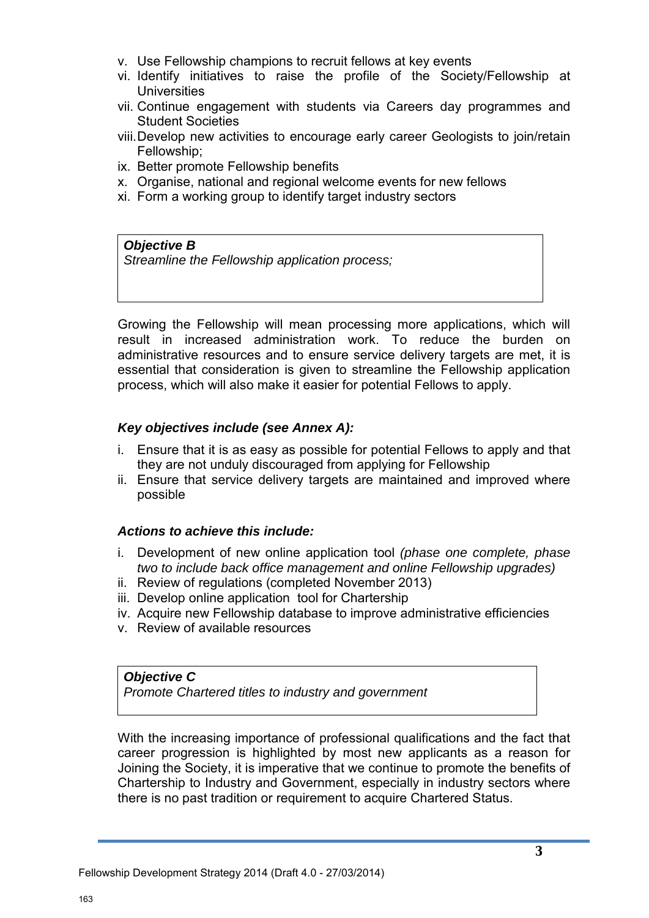- v. Use Fellowship champions to recruit fellows at key events
- vi. Identify initiatives to raise the profile of the Society/Fellowship at **Universities**
- vii. Continue engagement with students via Careers day programmes and Student Societies
- viii.Develop new activities to encourage early career Geologists to join/retain Fellowship;
- ix. Better promote Fellowship benefits
- x. Organise, national and regional welcome events for new fellows
- xi. Form a working group to identify target industry sectors

#### *Objective B*

*Streamline the Fellowship application process;* 

Growing the Fellowship will mean processing more applications, which will result in increased administration work. To reduce the burden on administrative resources and to ensure service delivery targets are met, it is essential that consideration is given to streamline the Fellowship application process, which will also make it easier for potential Fellows to apply.

## *Key objectives include (see Annex A):*

- i. Ensure that it is as easy as possible for potential Fellows to apply and that they are not unduly discouraged from applying for Fellowship
- ii. Ensure that service delivery targets are maintained and improved where possible

## *Actions to achieve this include:*

- i. Development of new online application tool *(phase one complete, phase two to include back office management and online Fellowship upgrades)*
- ii. Review of regulations (completed November 2013)
- iii. Develop online application tool for Chartership
- iv. Acquire new Fellowship database to improve administrative efficiencies
- v. Review of available resources

## *Objective C*

*Promote Chartered titles to industry and government*

With the increasing importance of professional qualifications and the fact that career progression is highlighted by most new applicants as a reason for Joining the Society, it is imperative that we continue to promote the benefits of Chartership to Industry and Government, especially in industry sectors where there is no past tradition or requirement to acquire Chartered Status.